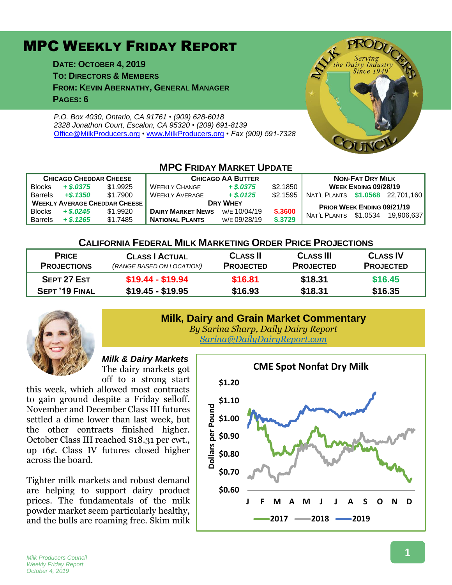# MPC WEEKLY FRIDAY REPORT

**DATE: OCTOBER 4, 2019 TO: DIRECTORS & MEMBERS FROM: KEVIN ABERNATHY, GENERAL MANAGER PAGES: 6**

*P.O. Box 4030, Ontario, CA 91761 • (909) 628-6018 2328 Jonathon Court, Escalon, CA 95320 • (209) 691-8139* [Office@MilkProducers.org](mailto:office@milkproducers.org) *•* [www.MilkProducers.org](http://www.milkproducers.org/) *• Fax (909) 591-7328*



| <b>MPC FRIDAY MARKET UPDATE</b>      |             |          |                          |              |          |                                   |          |            |  |  |
|--------------------------------------|-------------|----------|--------------------------|--------------|----------|-----------------------------------|----------|------------|--|--|
| <b>CHICAGO CHEDDAR CHEESE</b>        |             |          | <b>CHICAGO AA BUTTER</b> |              |          | <b>NON-FAT DRY MILK</b>           |          |            |  |  |
| <b>Blocks</b>                        | $+$ \$,0375 | \$1,9925 | <b>WEEKLY CHANGE</b>     | $+$ \$.0375  | \$2.1850 | WEEK ENDING 09/28/19              |          |            |  |  |
| <b>Barrels</b>                       | $+$ \$.1350 | \$1.7900 | <b>WEEKLY AVERAGE</b>    | $+$ \$.0125  | \$2.1595 | NAT'L PLANTS \$1.0568             |          | 22.701.160 |  |  |
| <b>WEEKLY AVERAGE CHEDDAR CHEESE</b> |             |          | <b>DRY WHEY</b>          |              |          | <b>PRIOR WEEK ENDING 09/21/19</b> |          |            |  |  |
| <b>Blocks</b>                        | $+$ \$.0245 | \$1,9920 | <b>DAIRY MARKET NEWS</b> | W/E 10/04/19 | \$.3600  | NAT'L PLANTS                      | \$1.0534 | 19.906.637 |  |  |
| <b>Barrels</b>                       | $+$ \$.1265 | \$1.7485 | <b>NATIONAL PLANTS</b>   | W/E 09/28/19 | \$.3729  |                                   |          |            |  |  |

#### **CALIFORNIA FEDERAL MILK MARKETING ORDER PRICE PROJECTIONS**

| <b>PRICE</b>          | <b>CLASS   ACTUAL</b>     | <b>CLASS II</b>  | <b>CLASS III</b> | <b>CLASS IV</b>  |
|-----------------------|---------------------------|------------------|------------------|------------------|
| <b>PROJECTIONS</b>    | (RANGE BASED ON LOCATION) | <b>PROJECTED</b> | <b>PROJECTED</b> | <b>PROJECTED</b> |
| SEPT 27 EST           | $$19.44 - $19.94$         | \$16.81          | \$18.31          | \$16.45          |
| <b>SEPT '19 FINAL</b> | $$19.45 - $19.95$         | \$16.93          | \$18.31          | \$16.35          |
|                       |                           |                  |                  |                  |



#### **Milk, Dairy and Grain Market Commentary** *By Sarina Sharp, Daily Dairy Report*

*[Sarina@DailyDairyReport.com](mailto:Sarina@DailyDairyReport.com)*

#### *Milk & Dairy Markets* The dairy markets got off to a strong start

this week, which allowed most contracts to gain ground despite a Friday selloff. November and December Class III futures settled a dime lower than last week, but the other contracts finished higher. October Class III reached \$18.31 per cwt., up 16ȼ. Class IV futures closed higher across the board.

Tighter milk markets and robust demand are helping to support dairy product prices. The fundamentals of the milk powder market seem particularly healthy, and the bulls are roaming free. Skim milk

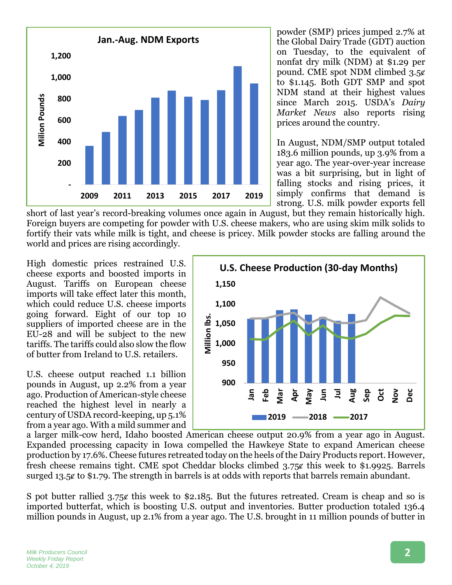

powder (SMP) prices jumped 2.7% at the Global Dairy Trade (GDT) auction on Tuesday, to the equivalent of nonfat dry milk (NDM) at \$1.29 per pound. CME spot NDM climbed 3.5¢ to \$1.145. Both GDT SMP and spot NDM stand at their highest values since March 2015. USDA's *Dairy Market News* also reports rising prices around the country.

In August, NDM/SMP output totaled 183.6 million pounds, up 3.9% from a year ago. The year-over-year increase was a bit surprising, but in light of falling stocks and rising prices, it simply confirms that demand is strong. U.S. milk powder exports fell

short of last year's record-breaking volumes once again in August, but they remain historically high. Foreign buyers are competing for powder with U.S. cheese makers, who are using skim milk solids to fortify their vats while milk is tight, and cheese is pricey. Milk powder stocks are falling around the world and prices are rising accordingly.

High domestic prices restrained U.S. cheese exports and boosted imports in August. Tariffs on European cheese imports will take effect later this month, which could reduce U.S. cheese imports going forward. Eight of our top 10 suppliers of imported cheese are in the EU-28 and will be subject to the new tariffs. The tariffs could also slow the flow of butter from Ireland to U.S. retailers.

U.S. cheese output reached 1.1 billion pounds in August, up 2.2% from a year ago. Production of American-style cheese reached the highest level in nearly a century of USDA record-keeping, up 5.1% from a year ago. With a mild summer and



a larger milk-cow herd, Idaho boosted American cheese output 20.9% from a year ago in August. Expanded processing capacity in Iowa compelled the Hawkeye State to expand American cheese production by 17.6%. Cheese futures retreated today on the heels of the Dairy Products report. However, fresh cheese remains tight. CME spot Cheddar blocks climbed 3.75¢ this week to \$1.9925. Barrels surged 13.5¢ to \$1.79. The strength in barrels is at odds with reports that barrels remain abundant.

S pot butter rallied 3.75 $\epsilon$  this week to \$2.185. But the futures retreated. Cream is cheap and so is imported butterfat, which is boosting U.S. output and inventories. Butter production totaled 136.4 million pounds in August, up 2.1% from a year ago. The U.S. brought in 11 million pounds of butter in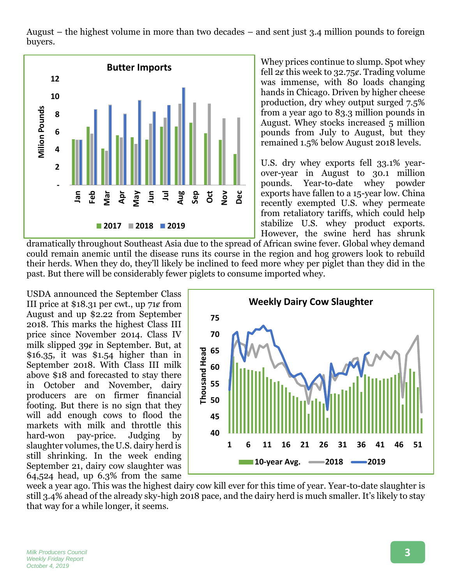August – the highest volume in more than two decades – and sent just 3.4 million pounds to foreign buyers.



Whey prices continue to slump. Spot whey fell  $2¢$  this week to  $32.75¢$ . Trading volume was immense, with 80 loads changing hands in Chicago. Driven by higher cheese production, dry whey output surged 7.5% from a year ago to 83.3 million pounds in August. Whey stocks increased 5 million pounds from July to August, but they remained 1.5% below August 2018 levels.

U.S. dry whey exports fell 33.1% yearover-year in August to 30.1 million pounds. Year-to-date whey powder exports have fallen to a 15-year low. China recently exempted U.S. whey permeate from retaliatory tariffs, which could help stabilize U.S. whey product exports. However, the swine herd has shrunk

dramatically throughout Southeast Asia due to the spread of African swine fever. Global whey demand could remain anemic until the disease runs its course in the region and hog growers look to rebuild their herds. When they do, they'll likely be inclined to feed more whey per piglet than they did in the past. But there will be considerably fewer piglets to consume imported whey.

USDA announced the September Class III price at  $$18.31$  per cwt., up 71 $\ell$  from August and up \$2.22 from September 2018. This marks the highest Class III price since November 2014. Class IV milk slipped 39¢ in September. But, at  $$16.35$ , it was  $$1.54$  higher than in September 2018. With Class III milk above \$18 and forecasted to stay there in October and November, dairy producers are on firmer financial footing. But there is no sign that they will add enough cows to flood the markets with milk and throttle this hard-won pay-price. Judging by slaughter volumes, the U.S. dairy herd is still shrinking. In the week ending September 21, dairy cow slaughter was 64,524 head, up 6.3% from the same



week a year ago. This was the highest dairy cow kill ever for this time of year. Year-to-date slaughter is still 3.4% ahead of the already sky-high 2018 pace, and the dairy herd is much smaller. It's likely to stay that way for a while longer, it seems.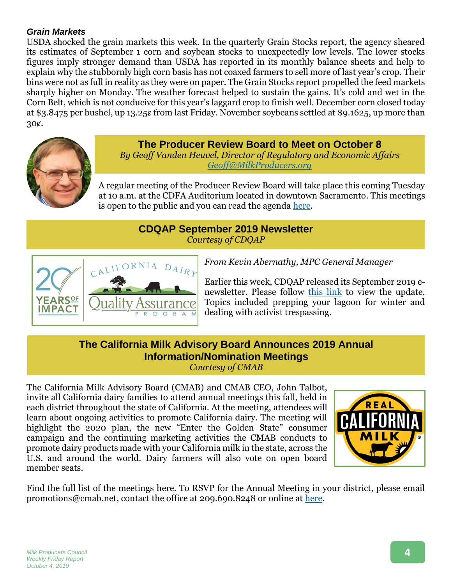### *Grain Markets*

USDA shocked the grain markets this week. In the quarterly Grain Stocks report, the agency sheared its estimates of September 1 corn and soybean stocks to unexpectedly low levels. The lower stocks figures imply stronger demand than USDA has reported in its monthly balance sheets and help to explain why the stubbornly high corn basis has not coaxed farmers to sell more of last year's crop. Their bins were not as full in reality as they were on paper. The Grain Stocks report propelled the feed markets sharply higher on Monday. The weather forecast helped to sustain the gains. It's cold and wet in the Corn Belt, which is not conducive for this year's laggard crop to finish well. December corn closed today at \$3.8475 per bushel, up 13.25ȼ from last Friday. November soybeans settled at \$9.1625, up more than 30ȼ.



**The Producer Review Board to Meet on October 8** *By Geoff Vanden Heuvel, Director of Regulatory and Economic Affairs*

*[Geoff@MilkProducers.org](mailto:Geoff@MilkProducers.org)*

A regular meeting of the Producer Review Board will take place this coming Tuesday at 10 a.m. at the CDFA Auditorium located in downtown Sacramento. This meetings is open to the public and you can read the agenda [here.](https://www.cdfa.ca.gov/dairy/pdf/PRB/MeetingAgenda-10082019.pdf)

# **CDQAP September 2019 Newsletter** *Courtesy of CDQAP*



*From Kevin Abernathy, MPC General Manager*

Earlier this week, CDQAP released its September 2019 enewsletter. Please follow [this link](http://cdrf.org/wp-content/uploads/2019/09/CDQAP-September-2019-FINAL.pdf) to view the update. Topics included prepping your lagoon for winter and dealing with activist trespassing.

## **The California Milk Advisory Board Announces 2019 Annual Information/Nomination Meetings** *Courtesy of CMAB*

The California Milk Advisory Board (CMAB) and CMAB CEO, John Talbot, invite all California dairy families to attend annual meetings this fall, held in each district throughout the state of California. At the meeting, attendees will learn about ongoing activities to promote California dairy. The meeting will highlight the 2020 plan, the new "Enter the Golden State" consumer campaign and the continuing marketing activities the CMAB conducts to promote dairy products made with your California milk in the state, across the U.S. and around the world. Dairy farmers will also vote on open board member seats.



Find the full list of the meetings here. To RSVP for the Annual Meeting in your district, please email promotions@cmab.net, contact the office at 209.690.8248 or online at [here.](http://www.milkproducerscouncil.org/wp-content/uploads/AnnualMeeting_industryrelease_2019.pdf)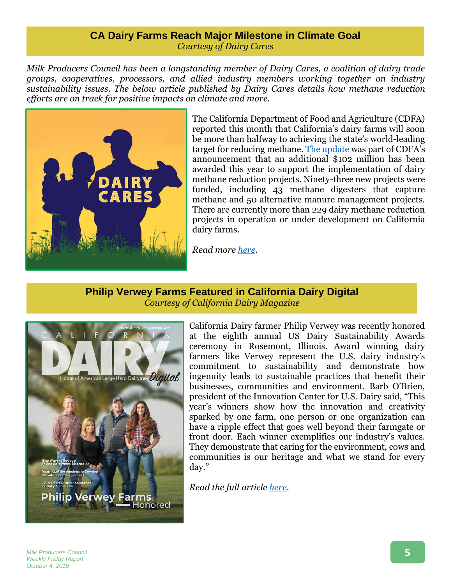#### **CA Dairy Farms Reach Major Milestone in Climate Goal** *Courtesy of Dairy Cares*

*Milk Producers Council has been a longstanding member of Dairy Cares, a coalition of dairy trade groups, cooperatives, processors, and allied industry members working together on industry sustainability issues. The below article published by Dairy Cares details how methane reduction efforts are on track for positive impacts on climate and more.* 



The California Department of Food and Agriculture (CDFA) reported this month that California's dairy farms will soon be more than halfway to achieving the state's world-leading target for reducing methane. [The update](https://www.cdfa.ca.gov/egov/Press_Releases/Press_Release.asp?PRnum=19-085) was part of CDFA's announcement that an additional \$102 million has been awarded this year to support the implementation of dairy methane reduction projects. Ninety-three new projects were funded, including 43 methane digesters that capture methane and 50 alternative manure management projects. There are currently more than 229 dairy methane reduction projects in operation or under development on California dairy farms.

*Read more [here.](https://www.dairycares.com/post/ca-dairy-farms-reach-major-milestone-in-climate-goal)* 

## **Philip Verwey Farms Featured in California Dairy Digital** *Courtesy of California Dairy Magazine*



California Dairy farmer Philip Verwey was recently honored at the eighth annual US Dairy Sustainability Awards ceremony in Rosemont, Illinois. Award winning dairy farmers like Verwey represent the U.S. dairy industry's commitment to sustainability and demonstrate how ingenuity leads to sustainable practices that benefit their businesses, communities and environment. Barb O'Brien, president of the Innovation Center for U.S. Dairy said, "This year's winners show how the innovation and creativity sparked by one farm, one person or one organization can have a ripple effect that goes well beyond their farmgate or front door. Each winner exemplifies our industry's values. They demonstrate that caring for the environment, cows and communities is our heritage and what we stand for every day."

*Read the full article [here.](https://indd.adobe.com/view/34488b86-0af7-4d3f-af77-e9bd0b0ccb0b)*